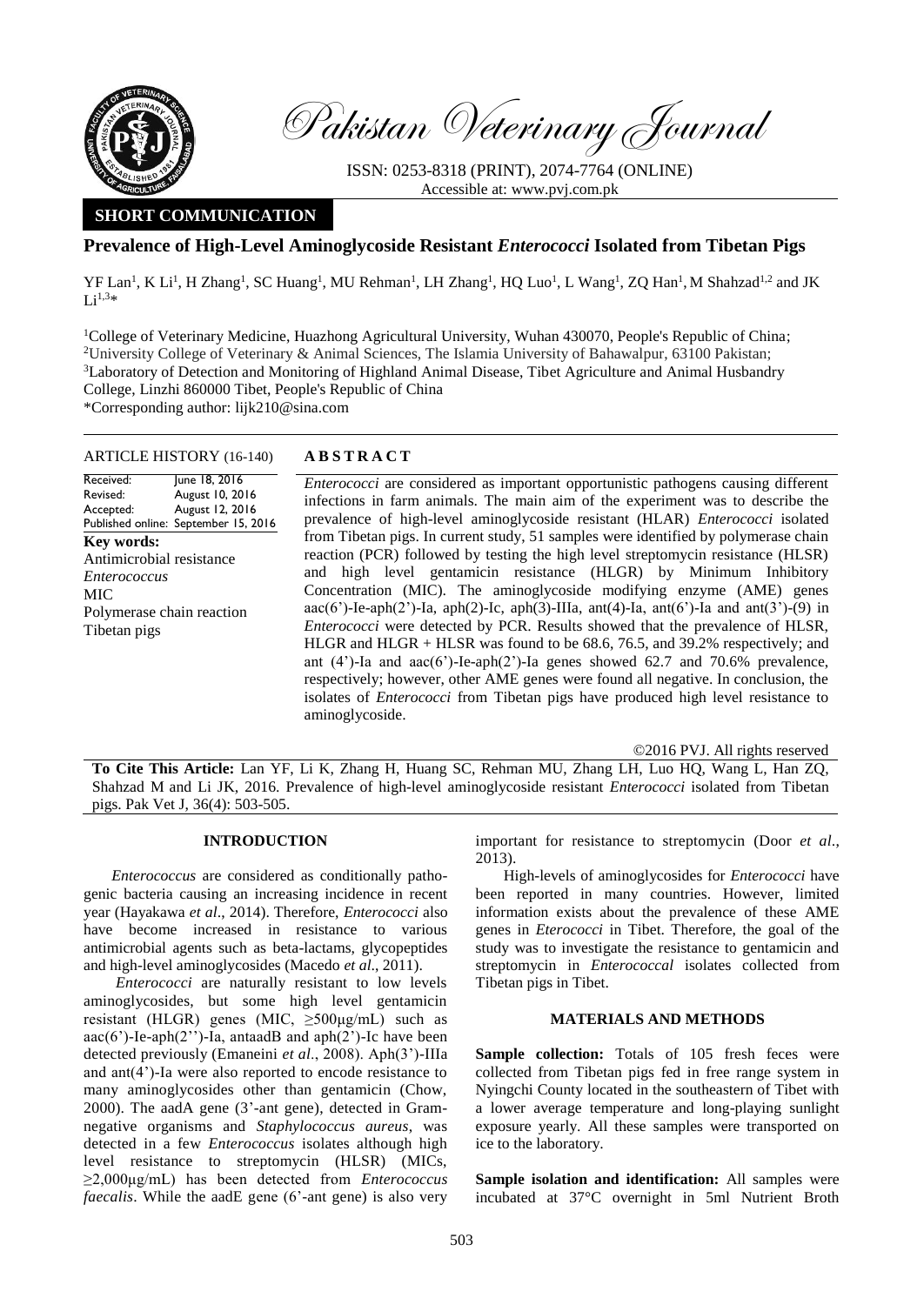

Pakistan Veterinary Journal

ISSN: 0253-8318 (PRINT), 2074-7764 (ONLINE) Accessible at: [www.pvj.com.pk](http://www.pvj.com.pk/)

# **SHORT COMMUNICATION**

# **Prevalence of High-Level Aminoglycoside Resistant** *Enterococci* **Isolated from Tibetan Pigs**

YF Lan<sup>1</sup>, K Li<sup>1</sup>, H Zhang<sup>1</sup>, SC Huang<sup>1</sup>, MU Rehman<sup>1</sup>, LH Zhang<sup>1</sup>, HQ Luo<sup>1</sup>, L Wang<sup>1</sup>, ZQ Han<sup>1</sup>, M Shahzad<sup>1,2</sup> and JK  $Li^{1,3*}$ 

<sup>1</sup>College of Veterinary Medicine, Huazhong Agricultural University, Wuhan 430070, People's Republic of China; <sup>2</sup>University College of Veterinary & Animal Sciences, The Islamia University of Bahawalpur, 63100 Pakistan; <sup>3</sup>Laboratory of Detection and Monitoring of Highland Animal Disease, Tibet Agriculture and Animal Husbandry College, Linzhi 860000 Tibet, People's Republic of China \*Corresponding author: lijk210@sina.com

## ARTICLE HISTORY (16-140) **A B S T R A C T**

Received: Revised: Accepted: Published online: September 15, 2016 June 18, 2016 August 10, 2016 August 12, 2016 **Key words:**  Antimicrobial resistance *Enterococcus* MIC Polymerase chain reaction Tibetan pigs

*Enterococci* are considered as important opportunistic pathogens causing different infections in farm animals. The main aim of the experiment was to describe the prevalence of high-level aminoglycoside resistant (HLAR) *Enterococci* isolated from Tibetan pigs. In current study, 51 samples were identified by polymerase chain reaction (PCR) followed by testing the high level streptomycin resistance (HLSR) and high level gentamicin resistance (HLGR) by Minimum Inhibitory Concentration (MIC). The aminoglycoside modifying enzyme (AME) genes aac(6')-Ie-aph(2')-Ia, aph(2)-Ic, aph(3)-IIIa, ant(4)-Ia, ant(6')-Ia and ant(3')-(9) in *Enterococci* were detected by PCR. Results showed that the prevalence of HLSR, HLGR and HLGR + HLSR was found to be 68.6, 76.5, and 39.2% respectively; and ant  $(4')$ -Ia and aac $(6')$ -Ie-aph $(2')$ -Ia genes showed 62.7 and 70.6% prevalence, respectively; however, other AME genes were found all negative. In conclusion, the isolates of *Enterococci* from Tibetan pigs have produced high level resistance to aminoglycoside.

©2016 PVJ. All rights reserved

**To Cite This Article:** Lan YF, Li K, Zhang H, Huang SC, Rehman MU, Zhang LH, Luo HQ, Wang L, Han ZQ, Shahzad M and Li JK, 2016. Prevalence of high-level aminoglycoside resistant *Enterococci* isolated from Tibetan pigs. Pak Vet J, 36(4): 503-505.

## **INTRODUCTION**

*Enterococcus* are considered as conditionally pathogenic bacteria causing an increasing incidence in recent year (Hayakawa *et al*., 2014). Therefore, *Enterococci* also have become increased in resistance to various antimicrobial agents such as beta-lactams, glycopeptides and high-level aminoglycosides (Macedo *et al*., 2011).

*Enterococci* are naturally resistant to low levels aminoglycosides, but some high level gentamicin resistant (HLGR) genes (MIC, ≥500μg/mL) such as aac(6')-Ie-aph(2'')-Ia, antaadB and aph(2')-Ic have been detected previously (Emaneini *et al*., 2008). Aph(3')-IIIa and ant(4')-Ia were also reported to encode resistance to many aminoglycosides other than gentamicin (Chow, 2000). The aadA gene (3'-ant gene), detected in Gramnegative organisms and *Staphylococcus aureus*, was detected in a few *Enterococcus* isolates although high level resistance to streptomycin (HLSR) (MICs, ≥2,000μg/mL) has been detected from *Enterococcus faecalis*. While the aadE gene (6'-ant gene) is also very important for resistance to streptomycin (Door *et al*., 2013).

High-levels of aminoglycosides for *Enterococci* have been reported in many countries. However, limited information exists about the prevalence of these AME genes in *Eterococci* in Tibet. Therefore, the goal of the study was to investigate the resistance to gentamicin and streptomycin in *Enterococcal* isolates collected from Tibetan pigs in Tibet.

### **MATERIALS AND METHODS**

Sample collection: Totals of 105 fresh feces were collected from Tibetan pigs fed in free range system in Nyingchi County located in the southeastern of Tibet with a lower average temperature and [long-playing](file:///C:/Users/Administrator/AppData/Local/Yodao/DeskDict/frame/20160219143242/javascript:void(0);) sunlight exposure yearly. All these samples were transported on ice to the laboratory.

**Sample isolation and identification:** All samples were incubated at 37°C overnight in 5ml Nutrient Broth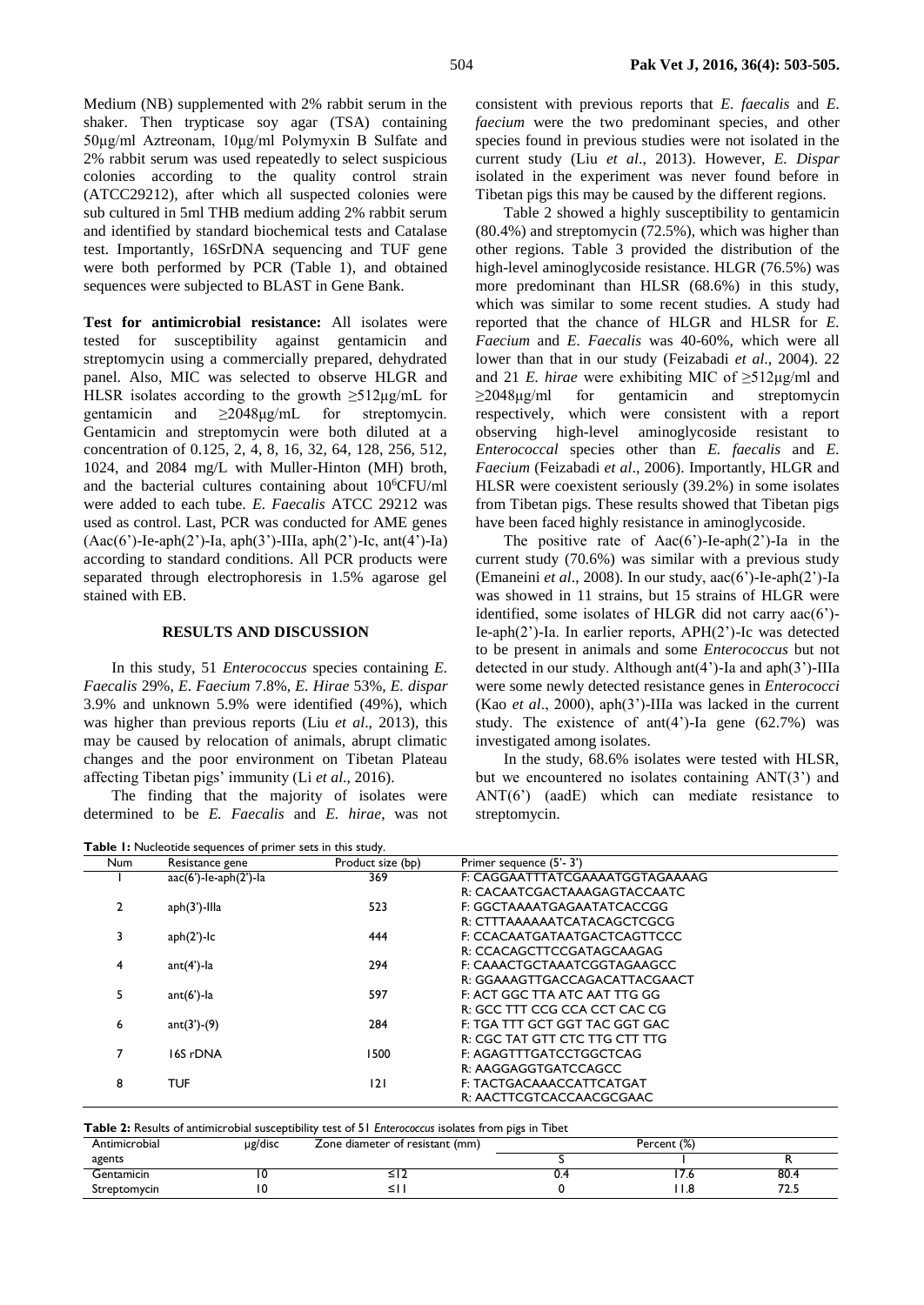Medium (NB) supplemented with 2% rabbit serum in the shaker. Then trypticase soy agar (TSA) containing 50μg/ml Aztreonam, 10μg/ml Polymyxin B Sulfate and 2% rabbit serum was used repeatedly to select suspicious colonies according to the quality control strain (ATCC29212), after which all suspected colonies were sub cultured in 5ml THB medium adding 2% rabbit serum and identified by standard biochemical tests and Catalase test. Importantly, 16SrDNA sequencing and TUF gene were both performed by PCR (Table 1), and obtained sequences were subjected to BLAST in Gene Bank.

**Test for antimicrobial resistance:** All isolates were tested for susceptibility against gentamicin and streptomycin using a commercially prepared, dehydrated panel. Also, MIC was selected to observe HLGR and HLSR isolates according to the growth  $\geq 512 \mu g/mL$  for gentamicin and ≥2048μg/mL for streptomycin. Gentamicin and streptomycin were both diluted at a concentration of 0.125, 2, 4, 8, 16, 32, 64, 128, 256, 512, 1024, and 2084 mg/L with Muller-Hinton (MH) broth, and the bacterial cultures containing about  $10^{6}$ CFU/ml were added to each tube. *E. Faecalis* ATCC 29212 was used as control. Last, PCR was conducted for AME genes (Aac(6')-Ie-aph(2')-Ia, aph(3')-IIIa, aph(2')-Ic, ant(4')-Ia) according to standard conditions. All PCR products were separated through electrophoresis in 1.5% agarose gel stained with EB.

#### **RESULTS AND DISCUSSION**

In this study, 51 *Enterococcus* species containing *E. Faecalis* 29%, *E. Faecium* 7.8%, *E. Hirae* 53%, *E. dispar*  3.9% and unknown 5.9% were identified (49%), which was higher than previous reports (Liu *et al*., 2013), this may be caused by relocation of animals, abrupt climatic changes and the poor environment on Tibetan Plateau affecting Tibetan pigs' immunity (Li *et al*., 2016).

The finding that the majority of isolates were determined to be *E. Faecalis* and *E. hirae*, was not

**Table 1:** Nucleotide sequences of primer sets in this study.

consistent with previous reports that *E. faecalis* and *E. faecium* were the two predominant species, and other species found in previous studies were not isolated in the current study (Liu *et al*., 2013). However, *E. Dispar* isolated in the experiment was never found before in Tibetan pigs this may be caused by the different regions.

Table 2 showed a highly susceptibility to gentamicin (80.4%) and streptomycin (72.5%), which was higher than other regions. Table 3 provided the distribution of the high-level aminoglycoside resistance. HLGR (76.5%) was more predominant than HLSR (68.6%) in this study, which was similar to some recent studies. A study had reported that the chance of HLGR and HLSR for *E. Faecium* and *E. Faecalis* was 40-60%, which were all lower than that in our study (Feizabadi *et al*., 2004). 22 and 21 *E. hirae* were exhibiting MIC of  $\geq 512\mu g/ml$  and ≥2048μg/ml for gentamicin and streptomycin respectively, which were consistent with a report observing high-level aminoglycoside resistant to *Enterococcal* species other than *E. faecalis* and *E. Faecium* (Feizabadi *et al*., 2006). Importantly, HLGR and HLSR were coexistent seriously (39.2%) in some isolates from Tibetan pigs. These results showed that Tibetan pigs have been faced highly resistance in aminoglycoside.

The positive rate of  $Aac(6')$ -Ie-aph(2')-Ia in the current study (70.6%) was similar with a previous study (Emaneini *et al*., 2008). In our study, aac(6')-Ie-aph(2')-Ia was showed in 11 strains, but 15 strains of HLGR were identified, some isolates of HLGR did not carry aac(6')- Ie-aph(2')-Ia. In earlier reports, APH(2')-Ic was detected to be present in animals and some *Enterococcus* but not detected in our study. Although ant(4')-Ia and aph(3')-IIIa were some newly detected resistance genes in *Enterococci*  (Kao *et al*., 2000), aph(3')-IIIa was lacked in the current study. The existence of ant(4')-Ia gene  $(62.7%)$  was investigated among isolates.

In the study, 68.6% isolates were tested with HLSR, but we encountered no isolates containing ANT(3') and ANT(6') (aadE) which can mediate resistance to streptomycin.

| Num | Resistance gene              | Product size (bp) | Primer sequence (5'-3')         |  |
|-----|------------------------------|-------------------|---------------------------------|--|
|     | $rac(6')$ -le-aph $(2')$ -la | 369               | F: CAGGAATTTATCGAAAATGGTAGAAAAG |  |
|     |                              |                   | R: CACAATCGACTAAAGAGTACCAATC    |  |
| 2   | $aph(3')$ -Illa              | 523               | F: GGCTAAAATGAGAATATCACCGG      |  |
|     |                              |                   | R: CTTTAAAAAATCATACAGCTCGCG     |  |
| 3   | $aph(2')-lc$                 | 444               | F: CCACAATGATAATGACTCAGTTCCC    |  |
|     |                              |                   | R: CCACAGCTTCCGATAGCAAGAG       |  |
| 4   | $ant(4')$ -la                | 294               | F: CAAACTGCTAAATCGGTAGAAGCC     |  |
|     |                              |                   | R: GGAAAGTTGACCAGACATTACGAACT   |  |
| 5   | $ant(6')$ -la                | 597               | F: ACT GGC TTA ATC AAT TTG GG   |  |
|     |                              |                   | R: GCC TTT CCG CCA CCT CAC CG   |  |
| 6   | $ant(3')-(9)$                | 284               | F: TGA TTT GCT GGT TAC GGT GAC  |  |
|     |                              |                   | R: CGC TAT GTT CTC TTG CTT TTG  |  |
|     | 16S rDNA                     | 1500              | F: AGAGTTTGATCCTGGCTCAG         |  |
|     |                              |                   | R: AAGGAGGTGATCCAGCC            |  |
| 8   | <b>TUF</b>                   | 2                 | F: TACTGACAAACCATTCATGAT        |  |
|     |                              |                   | R: AACTTCGTCACCAACGCGAAC        |  |

|  |  | Table 2: Results of antimicrobial susceptibility test of 51 Enterococcus isolates from pigs in Tibet |
|--|--|------------------------------------------------------------------------------------------------------|
|--|--|------------------------------------------------------------------------------------------------------|

| Antimicrobial | µg/disc | Zone diameter of resistant (mm) | Percent (%) |                |      |
|---------------|---------|---------------------------------|-------------|----------------|------|
| agents        |         |                                 |             |                |      |
| Gentamicin    |         | ≃≀∠                             | v.4         | .              | 80.4 |
| Streptomycin  |         | - 1                             |             | $\blacksquare$ | د. ۲ |